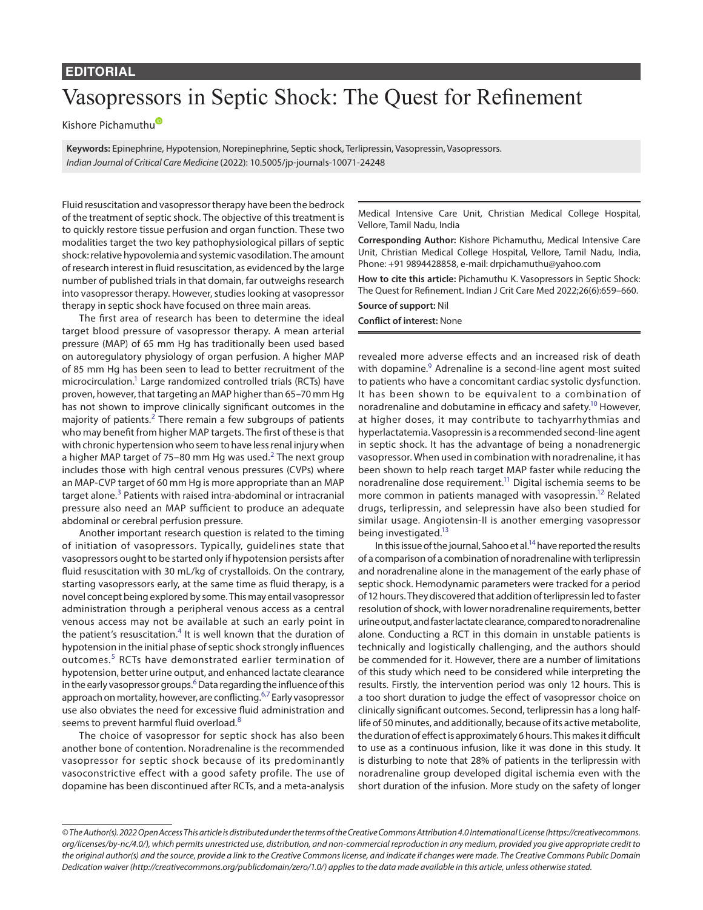### **EDITORIAL**

# Vasopressors in Septic Shock: The Quest for Refinement

Kishore Pichamuth[u](https://orcid.org/0000-0002-6977-1183)

**Keywords:** Epinephrine, Hypotension, Norepinephrine, Septic shock, Terlipressin, Vasopressin, Vasopressors. *Indian Journal of Critical Care Medicine* (2022): 10.5005/jp-journals-10071-24248

Fluid resuscitation and vasopressor therapy have been the bedrock of the treatment of septic shock. The objective of this treatment is to quickly restore tissue perfusion and organ function. These two modalities target the two key pathophysiological pillars of septic shock: relative hypovolemia and systemic vasodilation. The amount of research interest in fluid resuscitation, as evidenced by the large number of published trials in that domain, far outweighs research into vasopressor therapy. However, studies looking at vasopressor therapy in septic shock have focused on three main areas.

The first area of research has been to determine the ideal target blood pressure of vasopressor therapy. A mean arterial pressure (MAP) of 65 mm Hg has traditionally been used based on autoregulatory physiology of organ perfusion. A higher MAP of 85 mm Hg has been seen to lead to better recruitment of the microcirculation.<sup>1</sup> Large randomized controlled trials (RCTs) have proven, however, that targeting an MAP higher than 65–70 mm Hg has not shown to improve clinically significant outcomes in the majority of patients.<sup>[2](#page-1-1)</sup> There remain a few subgroups of patients who may benefit from higher MAP targets. The first of these is that with chronic hypertension who seem to have less renal injury when a higher MAP target of 75–80 mm Hg was used.<sup>[2](#page-1-1)</sup> The next group includes those with high central venous pressures (CVPs) where an MAP-CVP target of 60 mm Hg is more appropriate than an MAP target alone.<sup>[3](#page-1-2)</sup> Patients with raised intra-abdominal or intracranial pressure also need an MAP sufficient to produce an adequate abdominal or cerebral perfusion pressure.

Another important research question is related to the timing of initiation of vasopressors. Typically, guidelines state that vasopressors ought to be started only if hypotension persists after fluid resuscitation with 30 mL/kg of crystalloids. On the contrary, starting vasopressors early, at the same time as fluid therapy, is a novel concept being explored by some. This may entail vasopressor administration through a peripheral venous access as a central venous access may not be available at such an early point in the patient's resuscitation.<sup>[4](#page-1-3)</sup> It is well known that the duration of hypotension in the initial phase of septic shock strongly influences outcomes.<sup>[5](#page-1-4)</sup> RCTs have demonstrated earlier termination of hypotension, better urine output, and enhanced lactate clearance in the early vasopressor groups. $^6$  Data regarding the influence of this approach on mortality, however, are conflicting.<sup>[6](#page-1-5)[,7](#page-1-6)</sup> Early vasopressor use also obviates the need for excessive fluid administration and seems to prevent harmful fluid overload.<sup>[8](#page-1-7)</sup>

The choice of vasopressor for septic shock has also been another bone of contention. Noradrenaline is the recommended vasopressor for septic shock because of its predominantly vasoconstrictive effect with a good safety profile. The use of dopamine has been discontinued after RCTs, and a meta-analysis

Medical Intensive Care Unit, Christian Medical College Hospital, Vellore, Tamil Nadu, India

**Corresponding Author:** Kishore Pichamuthu, Medical Intensive Care Unit, Christian Medical College Hospital, Vellore, Tamil Nadu, India, Phone: +91 9894428858, e-mail: drpichamuthu@yahoo.com

**How to cite this article:** Pichamuthu K. Vasopressors in Septic Shock: The Quest for Refinement. Indian J Crit Care Med 2022;26(6):659–660.

#### **Source of support:** Nil **Conflict of interest:** None

revealed more adverse effects and an increased risk of death with dopamine.<sup>[9](#page-1-8)</sup> Adrenaline is a second-line agent most suited to patients who have a concomitant cardiac systolic dysfunction. It has been shown to be equivalent to a combination of noradrenaline and dobutamine in efficacy and safety.<sup>10</sup> However, at higher doses, it may contribute to tachyarrhythmias and hyperlactatemia. Vasopressin is a recommended second-line agent in septic shock. It has the advantage of being a nonadrenergic vasopressor. When used in combination with noradrenaline, it has been shown to help reach target MAP faster while reducing the noradrenaline dose requirement.<sup>11</sup> Digital ischemia seems to be more common in patients managed with vasopressin.<sup>12</sup> Related drugs, terlipressin, and selepressin have also been studied for similar usage. Angiotensin-II is another emerging vasopressor being investigated.<sup>13</sup>

In this issue of the journal, Sahoo et al.<sup>14</sup> have reported the results of a comparison of a combination of noradrenaline with terlipressin and noradrenaline alone in the management of the early phase of septic shock. Hemodynamic parameters were tracked for a period of 12 hours. They discovered that addition of terlipressin led to faster resolution of shock, with lower noradrenaline requirements, better urine output, and faster lactate clearance, compared to noradrenaline alone. Conducting a RCT in this domain in unstable patients is technically and logistically challenging, and the authors should be commended for it. However, there are a number of limitations of this study which need to be considered while interpreting the results. Firstly, the intervention period was only 12 hours. This is a too short duration to judge the effect of vasopressor choice on clinically significant outcomes. Second, terlipressin has a long halflife of 50 minutes, and additionally, because of its active metabolite, the duration of effect is approximately 6 hours. This makes it difficult to use as a continuous infusion, like it was done in this study. It is disturbing to note that 28% of patients in the terlipressin with noradrenaline group developed digital ischemia even with the short duration of the infusion. More study on the safety of longer

*<sup>©</sup> The Author(s). 2022 Open Access This article is distributed under the terms of the Creative Commons Attribution 4.0 International License ([https://creativecommons.](https://creativecommons.org/licenses/by-nc/4.0/) [org/licenses/by-nc/4.0/](https://creativecommons.org/licenses/by-nc/4.0/)), which permits unrestricted use, distribution, and non-commercial reproduction in any medium, provided you give appropriate credit to the original author(s) and the source, provide a link to the Creative Commons license, and indicate if changes were made. The Creative Commons Public Domain Dedication waiver ([http://creativecommons.org/publicdomain/zero/1.0/\)](http://creativecommons.org/publicdomain/zero/1.0/) applies to the data made available in this article, unless otherwise stated.*